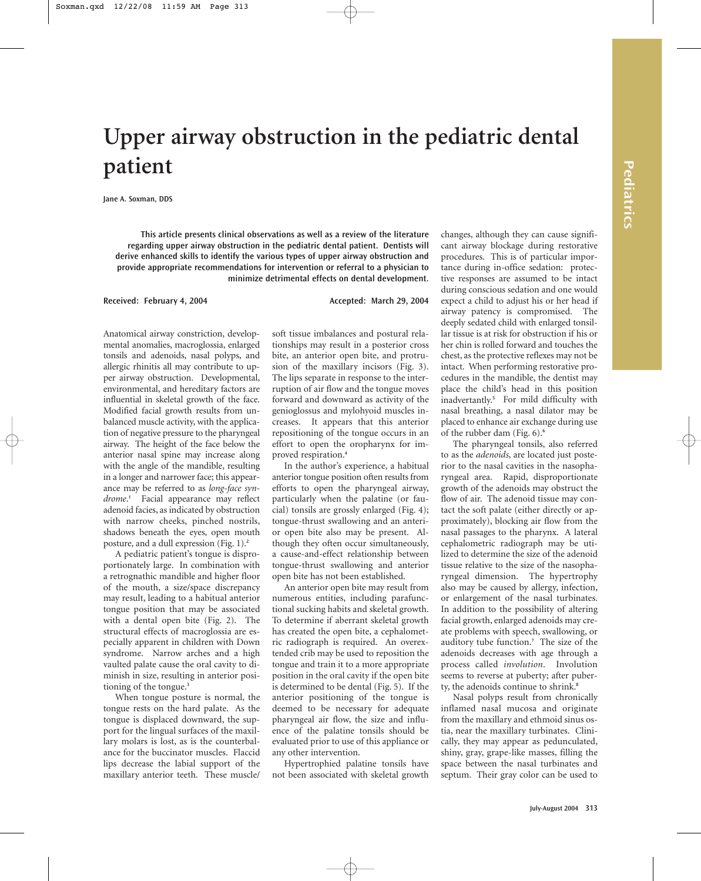# **Upper airway obstruction in the pediatric dental patient**

**Jane A. Soxman, DDS**

**This article presents clinical observations as well as a review of the literature regarding upper airway obstruction in the pediatric dental patient. Dentists will derive enhanced skills to identify the various types of upper airway obstruction and provide appropriate recommendations for intervention or referral to a physician to minimize detrimental effects on dental development.** 

Received: February 4, 2004 **Accepted: March 29, 2004** Accepted: March 29, 2004

Anatomical airway constriction, developmental anomalies, macroglossia, enlarged tonsils and adenoids, nasal polyps, and allergic rhinitis all may contribute to upper airway obstruction. Developmental, environmental, and hereditary factors are influential in skeletal growth of the face. Modified facial growth results from unbalanced muscle activity, with the application of negative pressure to the pharyngeal airway. The height of the face below the anterior nasal spine may increase along with the angle of the mandible, resulting in a longer and narrower face; this appearance may be referred to as *long-face syndrome*. **<sup>1</sup>** Facial appearance may reflect adenoid facies, as indicated by obstruction with narrow cheeks, pinched nostrils, shadows beneath the eyes, open mouth posture, and a dull expression (Fig. 1).**<sup>2</sup>**

A pediatric patient's tongue is disproportionately large. In combination with a retrognathic mandible and higher floor of the mouth, a size/space discrepancy may result, leading to a habitual anterior tongue position that may be associated with a dental open bite (Fig. 2). The structural effects of macroglossia are especially apparent in children with Down syndrome. Narrow arches and a high vaulted palate cause the oral cavity to diminish in size, resulting in anterior positioning of the tongue.**<sup>3</sup>**

When tongue posture is normal, the tongue rests on the hard palate. As the tongue is displaced downward, the support for the lingual surfaces of the maxillary molars is lost, as is the counterbalance for the buccinator muscles. Flaccid lips decrease the labial support of the maxillary anterior teeth. These muscle/

soft tissue imbalances and postural relationships may result in a posterior cross bite, an anterior open bite, and protrusion of the maxillary incisors (Fig. 3). The lips separate in response to the interruption of air flow and the tongue moves forward and downward as activity of the genioglossus and mylohyoid muscles increases. It appears that this anterior repositioning of the tongue occurs in an effort to open the oropharynx for improved respiration.**<sup>4</sup>**

In the author's experience, a habitual anterior tongue position often results from efforts to open the pharyngeal airway, particularly when the palatine (or faucial) tonsils are grossly enlarged (Fig. 4); tongue-thrust swallowing and an anterior open bite also may be present. Although they often occur simultaneously, a cause-and-effect relationship between tongue-thrust swallowing and anterior open bite has not been established.

An anterior open bite may result from numerous entities, including parafunctional sucking habits and skeletal growth. To determine if aberrant skeletal growth has created the open bite, a cephalometric radiograph is required. An overextended crib may be used to reposition the tongue and train it to a more appropriate position in the oral cavity if the open bite is determined to be dental (Fig. 5). If the anterior positioning of the tongue is deemed to be necessary for adequate pharyngeal air flow, the size and influence of the palatine tonsils should be evaluated prior to use of this appliance or any other intervention.

Hypertrophied palatine tonsils have not been associated with skeletal growth changes, although they can cause significant airway blockage during restorative procedures. This is of particular importance during in-office sedation: protective responses are assumed to be intact during conscious sedation and one would expect a child to adjust his or her head if airway patency is compromised. The deeply sedated child with enlarged tonsillar tissue is at risk for obstruction if his or her chin is rolled forward and touches the chest, as the protective reflexes may not be intact. When performing restorative procedures in the mandible, the dentist may place the child's head in this position inadvertantly.**<sup>5</sup>** For mild difficulty with nasal breathing, a nasal dilator may be placed to enhance air exchange during use of the rubber dam (Fig. 6).**<sup>6</sup>**

The pharyngeal tonsils, also referred to as the *adenoids*, are located just posterior to the nasal cavities in the nasopharyngeal area. Rapid, disproportionate growth of the adenoids may obstruct the flow of air. The adenoid tissue may contact the soft palate (either directly or approximately), blocking air flow from the nasal passages to the pharynx. A lateral cephalometric radiograph may be utilized to determine the size of the adenoid tissue relative to the size of the nasopharyngeal dimension. The hypertrophy also may be caused by allergy, infection, or enlargement of the nasal turbinates. In addition to the possibility of altering facial growth, enlarged adenoids may create problems with speech, swallowing, or auditory tube function.**<sup>7</sup>** The size of the adenoids decreases with age through a process called *involution*. Involution seems to reverse at puberty; after puberty, the adenoids continue to shrink.**<sup>8</sup>**

Nasal polyps result from chronically inflamed nasal mucosa and originate from the maxillary and ethmoid sinus ostia, near the maxillary turbinates. Clinically, they may appear as pedunculated, shiny, gray, grape-like masses, filling the space between the nasal turbinates and septum. Their gray color can be used to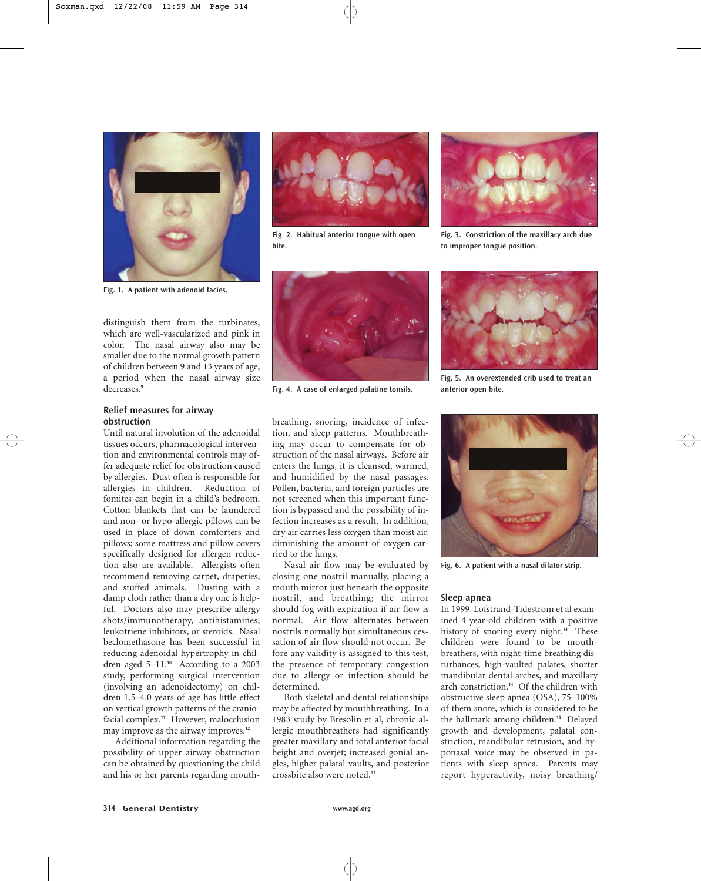

**Fig. 1. A patient with adenoid facies.**

distinguish them from the turbinates, which are well-vascularized and pink in color. The nasal airway also may be smaller due to the normal growth pattern of children between 9 and 13 years of age, a period when the nasal airway size decreases.**<sup>9</sup>**

## **Relief measures for airway obstruction**

Until natural involution of the adenoidal tissues occurs, pharmacological intervention and environmental controls may offer adequate relief for obstruction caused by allergies. Dust often is responsible for allergies in children. Reduction of fomites can begin in a child's bedroom. Cotton blankets that can be laundered and non- or hypo-allergic pillows can be used in place of down comforters and pillows; some mattress and pillow covers specifically designed for allergen reduction also are available. Allergists often recommend removing carpet, draperies, and stuffed animals. Dusting with a damp cloth rather than a dry one is helpful. Doctors also may prescribe allergy shots/immunotherapy, antihistamines, leukotriene inhibitors, or steroids. Nasal beclomethasone has been successful in reducing adenoidal hypertrophy in children aged 5–11.**<sup>10</sup>** According to a 2003 study, performing surgical intervention (involving an adenoidectomy) on children 1.5–4.0 years of age has little effect on vertical growth patterns of the craniofacial complex.**<sup>11</sup>** However, malocclusion may improve as the airway improves.**<sup>12</sup>**

Additional information regarding the possibility of upper airway obstruction can be obtained by questioning the child and his or her parents regarding mouth-



**Fig. 2. Habitual anterior tongue with open bite.**



**Fig. 3. Constriction of the maxillary arch due to improper tongue position.**



**Fig. 4. A case of enlarged palatine tonsils.**

breathing, snoring, incidence of infection, and sleep patterns. Mouthbreathing may occur to compensate for obstruction of the nasal airways. Before air enters the lungs, it is cleansed, warmed, and humidified by the nasal passages. Pollen, bacteria, and foreign particles are not screened when this important function is bypassed and the possibility of infection increases as a result. In addition, dry air carries less oxygen than moist air, diminishing the amount of oxygen carried to the lungs.

Nasal air flow may be evaluated by closing one nostril manually, placing a mouth mirror just beneath the opposite nostril, and breathing; the mirror should fog with expiration if air flow is normal. Air flow alternates between nostrils normally but simultaneous cessation of air flow should not occur. Before any validity is assigned to this test, the presence of temporary congestion due to allergy or infection should be determined.

Both skeletal and dental relationships may be affected by mouthbreathing. In a 1983 study by Bresolin et al, chronic allergic mouthbreathers had significantly greater maxillary and total anterior facial height and overjet; increased gonial angles, higher palatal vaults, and posterior crossbite also were noted.**<sup>13</sup>**



**Fig. 5. An overextended crib used to treat an anterior open bite.**



**Fig. 6. A patient with a nasal dilator strip.**

## **Sleep apnea**

In 1999, Lofstrand-Tidestrom et al examined 4-year-old children with a positive history of snoring every night.**<sup>14</sup>** These children were found to be mouthbreathers, with night-time breathing disturbances, high-vaulted palates, shorter mandibular dental arches, and maxillary arch constriction.**<sup>14</sup>** Of the children with obstructive sleep apnea (OSA), 75–100% of them snore, which is considered to be the hallmark among children.**<sup>15</sup>** Delayed growth and development, palatal constriction, mandibular retrusion, and hyponasal voice may be observed in patients with sleep apnea. Parents may report hyperactivity, noisy breathing/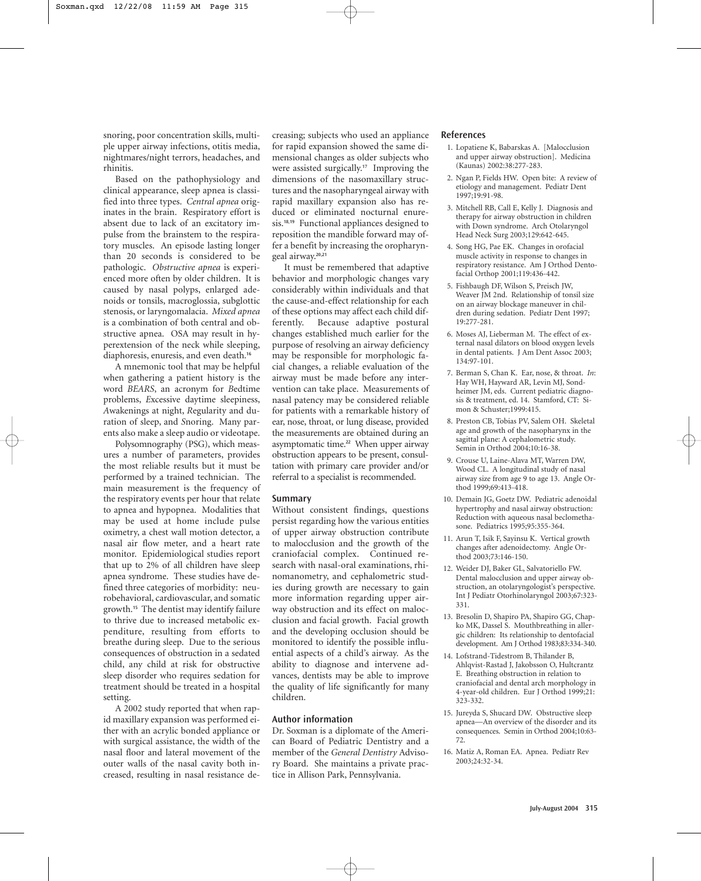snoring, poor concentration skills, multiple upper airway infections, otitis media, nightmares/night terrors, headaches, and rhinitis.

Based on the pathophysiology and clinical appearance, sleep apnea is classified into three types. *Central apnea* originates in the brain. Respiratory effort is absent due to lack of an excitatory impulse from the brainstem to the respiratory muscles. An episode lasting longer than 20 seconds is considered to be pathologic. *Obstructive apnea* is experienced more often by older children. It is caused by nasal polyps, enlarged adenoids or tonsils, macroglossia, subglottic stenosis, or laryngomalacia. *Mixed apnea* is a combination of both central and obstructive apnea. OSA may result in hyperextension of the neck while sleeping, diaphoresis, enuresis, and even death.**<sup>16</sup>**

A mnemonic tool that may be helpful when gathering a patient history is the word *BEARS*, an acronym for *B*edtime problems, *E*xcessive daytime sleepiness, *A*wakenings at night, *R*egularity and duration of sleep, and *S*noring. Many parents also make a sleep audio or videotape.

Polysomnography (PSG), which measures a number of parameters, provides the most reliable results but it must be performed by a trained technician. The main measurement is the frequency of the respiratory events per hour that relate to apnea and hypopnea. Modalities that may be used at home include pulse oximetry, a chest wall motion detector, a nasal air flow meter, and a heart rate monitor. Epidemiological studies report that up to 2% of all children have sleep apnea syndrome. These studies have defined three categories of morbidity: neurobehavioral, cardiovascular, and somatic growth.**<sup>15</sup>** The dentist may identify failure to thrive due to increased metabolic expenditure, resulting from efforts to breathe during sleep. Due to the serious consequences of obstruction in a sedated child, any child at risk for obstructive sleep disorder who requires sedation for treatment should be treated in a hospital setting.

A 2002 study reported that when rapid maxillary expansion was performed either with an acrylic bonded appliance or with surgical assistance, the width of the nasal floor and lateral movement of the outer walls of the nasal cavity both increased, resulting in nasal resistance decreasing; subjects who used an appliance for rapid expansion showed the same dimensional changes as older subjects who were assisted surgically.**<sup>17</sup>** Improving the dimensions of the nasomaxillary structures and the nasopharyngeal airway with rapid maxillary expansion also has reduced or eliminated nocturnal enuresis.**18,19** Functional appliances designed to reposition the mandible forward may offer a benefit by increasing the oropharyngeal airway.**20,21**

It must be remembered that adaptive behavior and morphologic changes vary considerably within individuals and that the cause-and-effect relationship for each of these options may affect each child differently. Because adaptive postural changes established much earlier for the purpose of resolving an airway deficiency may be responsible for morphologic facial changes, a reliable evaluation of the airway must be made before any intervention can take place. Measurements of nasal patency may be considered reliable for patients with a remarkable history of ear, nose, throat, or lung disease, provided the measurements are obtained during an asymptomatic time.**<sup>22</sup>** When upper airway obstruction appears to be present, consultation with primary care provider and/or referral to a specialist is recommended.

#### **Summary**

Without consistent findings, questions persist regarding how the various entities of upper airway obstruction contribute to malocclusion and the growth of the craniofacial complex. Continued research with nasal-oral examinations, rhinomanometry, and cephalometric studies during growth are necessary to gain more information regarding upper airway obstruction and its effect on malocclusion and facial growth. Facial growth and the developing occlusion should be monitored to identify the possible influential aspects of a child's airway. As the ability to diagnose and intervene advances, dentists may be able to improve the quality of life significantly for many children.

## **Author information**

Dr. Soxman is a diplomate of the American Board of Pediatric Dentistry and a member of the *General Dentistry* Advisory Board. She maintains a private practice in Allison Park, Pennsylvania.

#### **References**

- 1. Lopatiene K, Babarskas A. [Malocclusion and upper airway obstruction]. Medicina (Kaunas) 2002:38:277-283.
- 2. Ngan P, Fields HW. Open bite: A review of etiology and management. Pediatr Dent 1997;19:91-98.
- 3. Mitchell RB, Call E, Kelly J. Diagnosis and therapy for airway obstruction in children with Down syndrome. Arch Otolaryngol Head Neck Surg 2003;129:642-645.
- 4. Song HG, Pae EK. Changes in orofacial muscle activity in response to changes in respiratory resistance. Am J Orthod Dentofacial Orthop 2001;119:436-442.
- 5. Fishbaugh DF, Wilson S, Preisch JW, Weaver JM 2nd. Relationship of tonsil size on an airway blockage maneuver in children during sedation. Pediatr Dent 1997; 19:277-281.
- 6. Moses AJ, Lieberman M. The effect of external nasal dilators on blood oxygen levels in dental patients. J Am Dent Assoc 2003; 134:97-101.
- 7. Berman S, Chan K. Ear, nose, & throat. *In*: Hay WH, Hayward AR, Levin MJ, Sondheimer JM, eds. Current pediatric diagnosis & treatment, ed. 14. Stamford, CT: Simon & Schuster;1999:415.
- 8. Preston CB, Tobias PV, Salem OH. Skeletal age and growth of the nasopharynx in the sagittal plane: A cephalometric study. Semin in Orthod 2004;10:16-38.
- 9. Crouse U, Laine-Alava MT, Warren DW, Wood CL. A longitudinal study of nasal airway size from age 9 to age 13. Angle Orthod 1999;69:413-418.
- 10. Demain JG, Goetz DW. Pediatric adenoidal hypertrophy and nasal airway obstruction: Reduction with aqueous nasal beclomethasone. Pediatrics 1995;95:355-364.
- 11. Arun T, Isik F, Sayinsu K. Vertical growth changes after adenoidectomy. Angle Orthod 2003;73:146-150.
- 12. Weider DJ, Baker GL, Salvatoriello FW. Dental malocclusion and upper airway obstruction, an otolaryngologist's perspective. Int J Pediatr Otorhinolaryngol 2003;67:323- 331.
- 13. Bresolin D, Shapiro PA, Shapiro GG, Chapko MK, Dassel S. Mouthbreathing in allergic children: Its relationship to dentofacial development. Am J Orthod 1983;83:334-340.
- 14. Lofstrand-Tidestrom B, Thilander B, Ahlqvist-Rastad J, Jakobsson O, Hultcrantz E. Breathing obstruction in relation to craniofacial and dental arch morphology in 4-year-old children. Eur J Orthod 1999;21: 323-332.
- 15. Jureyda S, Shucard DW. Obstructive sleep apnea—An overview of the disorder and its consequences. Semin in Orthod 2004;10:63- 72.
- 16. Matiz A, Roman EA. Apnea. Pediatr Rev 2003;24:32-34.